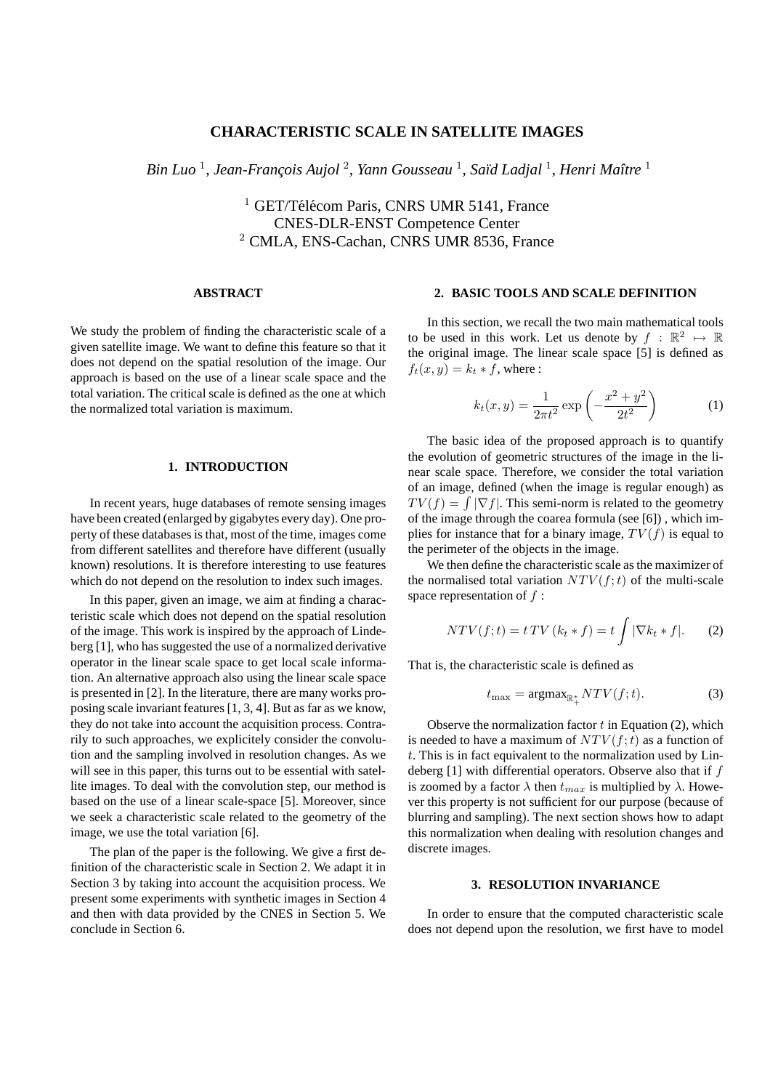# **CHARACTERISTIC SCALE IN SATELLITE IMAGES**

 $B$ in Luo  $^1$ , Jean-François Aujol  $^2$ , Yann Gousseau  $^1$ , Saïd Ladjal  $^1$ , Henri Maître  $^1$ 

 $1$  GET/Télécom Paris, CNRS UMR 5141, France CNES-DLR-ENST Competence Center <sup>2</sup> CMLA, ENS-Cachan, CNRS UMR 8536, France

## **ABSTRACT**

We study the problem of finding the characteristic scale of a given satellite image. We want to define this feature so that it does not depend on the spatial resolution of the image. Our approach is based on the use of a linear scale space and the total variation. The critical scale is defined as the one at which the normalized total variation is maximum.

# **1. INTRODUCTION**

In recent years, huge databases of remote sensing images have been created (enlarged by gigabytes every day). One property of these databases is that, most of the time, images come from different satellites and therefore have different (usually known) resolutions. It is therefore interesting to use features which do not depend on the resolution to index such images.

In this paper, given an image, we aim at finding a characteristic scale which does not depend on the spatial resolution of the image. This work is inspired by the approach of Lindeberg [1], who has suggested the use of a normalized derivative operator in the linear scale space to get local scale information. An alternative approach also using the linear scale space is presented in [2]. In the literature, there are many works proposing scale invariant features [1, 3, 4]. But as far as we know, they do not take into account the acquisition process. Contrarily to such approaches, we explicitely consider the convolution and the sampling involved in resolution changes. As we will see in this paper, this turns out to be essential with satellite images. To deal with the convolution step, our method is based on the use of a linear scale-space [5]. Moreover, since we seek a characteristic scale related to the geometry of the image, we use the total variation [6].

The plan of the paper is the following. We give a first definition of the characteristic scale in Section 2. We adapt it in Section 3 by taking into account the acquisition process. We present some experiments with synthetic images in Section 4 and then with data provided by the CNES in Section 5. We conclude in Section 6.

# **2. BASIC TOOLS AND SCALE DEFINITION**

In this section, we recall the two main mathematical tools to be used in this work. Let us denote by  $f : \mathbb{R}^2 \mapsto \mathbb{R}$ the original image. The linear scale space [5] is defined as  $f_t(x, y) = k_t * f$ , where :

$$
k_t(x,y) = \frac{1}{2\pi t^2} \exp\left(-\frac{x^2 + y^2}{2t^2}\right)
$$
 (1)

The basic idea of the proposed approach is to quantify the evolution of geometric structures of the image in the linear scale space. Therefore, we consider the total variation of an image, defined (when the image is regular enough) as  $TV(f) = \int |\nabla f|$ . This semi-norm is related to the geometry of the image through the coarea formula (see [6]) , which implies for instance that for a binary image,  $TV(f)$  is equal to the perimeter of the objects in the image.

We then define the characteristic scale as the maximizer of the normalised total variation  $NTV(f; t)$  of the multi-scale space representation of  $f$ :

$$
NTV(f; t) = t \, TV \left( k_t * f \right) = t \int |\nabla k_t * f|.
$$
 (2)

That is, the characteristic scale is defined as

$$
t_{\max} = \operatorname{argmax}_{\mathbb{R}_+^*} NTV(f; t). \tag{3}
$$

Observe the normalization factor  $t$  in Equation (2), which is needed to have a maximum of  $NTV(f; t)$  as a function of  $t$ . This is in fact equivalent to the normalization used by Lindeberg  $[1]$  with differential operators. Observe also that if  $f$ is zoomed by a factor  $\lambda$  then  $t_{max}$  is multiplied by  $\lambda$ . However this property is not sufficient for our purpose (because of blurring and sampling). The next section shows how to adapt this normalization when dealing with resolution changes and discrete images.

### **3. RESOLUTION INVARIANCE**

In order to ensure that the computed characteristic scale does not depend upon the resolution, we first have to model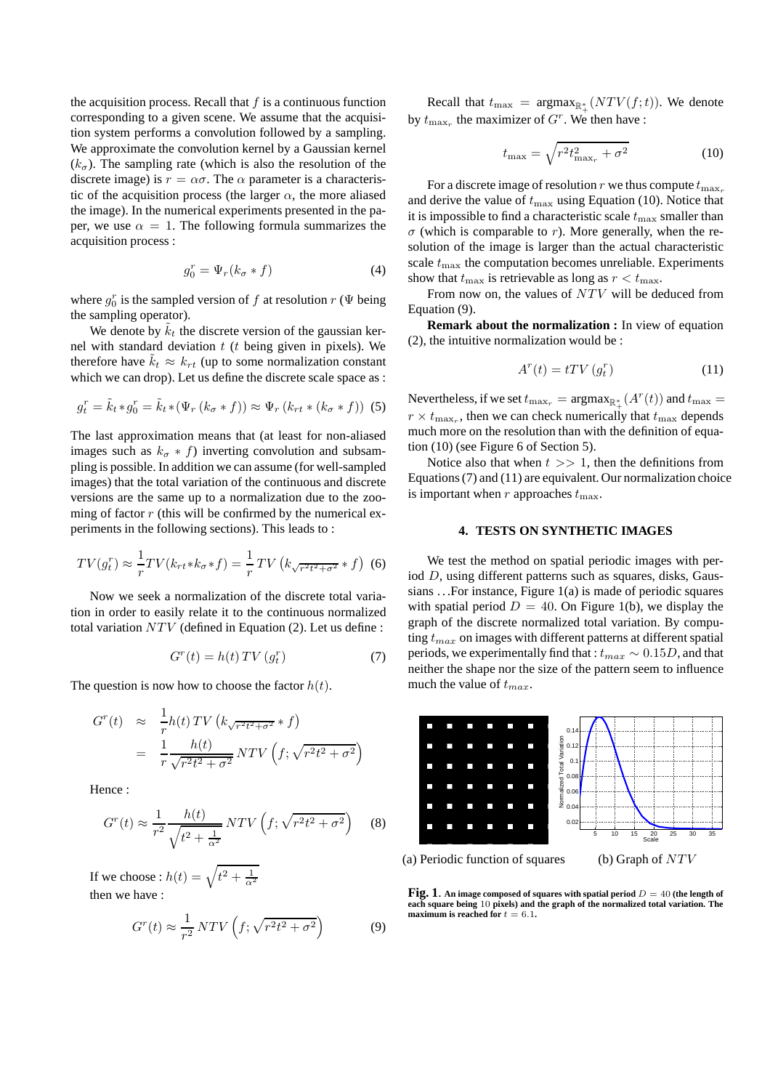the acquisition process. Recall that  $f$  is a continuous function corresponding to a given scene. We assume that the acquisition system performs a convolution followed by a sampling. We approximate the convolution kernel by a Gaussian kernel  $(k_{\sigma})$ . The sampling rate (which is also the resolution of the discrete image) is  $r = \alpha \sigma$ . The  $\alpha$  parameter is a characteristic of the acquisition process (the larger  $\alpha$ , the more aliased the image). In the numerical experiments presented in the paper, we use  $\alpha = 1$ . The following formula summarizes the acquisition process :

$$
g_0^r = \Psi_r(k_\sigma * f) \tag{4}
$$

where  $g_0^r$  is the sampled version of f at resolution  $r$  ( $\Psi$  being the sampling operator).

We denote by  $\tilde{k}_t$  the discrete version of the gaussian kernel with standard deviation  $t$  ( $t$  being given in pixels). We therefore have  $k_t \approx k_{rt}$  (up to some normalization constant which we can drop). Let us define the discrete scale space as :

$$
g_t^r = \tilde{k}_t * g_0^r = \tilde{k}_t * (\Psi_r (k_\sigma * f)) \approx \Psi_r (k_{rt} * (k_\sigma * f))
$$
 (5)

The last approximation means that (at least for non-aliased images such as  $k_{\sigma} * f$ ) inverting convolution and subsampling is possible. In addition we can assume (for well-sampled images) that the total variation of the continuous and discrete versions are the same up to a normalization due to the zooming of factor  $r$  (this will be confirmed by the numerical experiments in the following sections). This leads to :

$$
TV(g_t^r) \approx \frac{1}{r}TV(k_{rt} * k_{\sigma} * f) = \frac{1}{r}TV\left(k_{\sqrt{r^2t^2 + \sigma^2}} * f\right)
$$
 (6)

Now we seek a normalization of the discrete total variation in order to easily relate it to the continuous normalized total variation  $NTV$  (defined in Equation (2). Let us define :

$$
G^{r}(t) = h(t) \, TV \left(g_{t}^{r}\right) \tag{7}
$$

The question is now how to choose the factor  $h(t)$ .

$$
G^{r}(t) \approx \frac{1}{r} h(t) \, TV \left( k_{\sqrt{r^{2}t^{2} + \sigma^{2}}} * f \right)
$$

$$
= \frac{1}{r} \frac{h(t)}{\sqrt{r^{2}t^{2} + \sigma^{2}}} \, NTV \left( f; \sqrt{r^{2}t^{2} + \sigma^{2}} \right)
$$

Hence :

$$
G^{r}(t) \approx \frac{1}{r^{2}} \frac{h(t)}{\sqrt{t^{2} + \frac{1}{\alpha^{2}}}} \, NTV\left(f; \sqrt{r^{2}t^{2} + \sigma^{2}}\right) \tag{8}
$$

If we choose :  $h(t) = \sqrt{t^2 + \frac{1}{\alpha^2}}$ then we have :

$$
G^{r}(t) \approx \frac{1}{r^{2}} NTV\left(f; \sqrt{r^{2}t^{2} + \sigma^{2}}\right)
$$
 (9)

Recall that  $t_{\text{max}} = \text{argmax}_{\mathbb{R}^*_+} (NTV(f; t))$ . We denote by  $t_{\max_r}$  the maximizer of  $G^r$ . We then have :

$$
t_{\text{max}} = \sqrt{r^2 t_{\text{max}_r}^2 + \sigma^2}
$$
 (10)

For a discrete image of resolution r we thus compute  $t_{\text{max}}$ . and derive the value of  $t_{\text{max}}$  using Equation (10). Notice that it is impossible to find a characteristic scale  $t_{\text{max}}$  smaller than  $\sigma$  (which is comparable to r). More generally, when the resolution of the image is larger than the actual characteristic scale  $t_{\text{max}}$  the computation becomes unreliable. Experiments show that  $t_{\text{max}}$  is retrievable as long as  $r < t_{\text{max}}$ .

From now on, the values of  $NTV$  will be deduced from Equation (9).

**Remark about the normalization :** In view of equation (2), the intuitive normalization would be :

$$
A^{r}(t) = tTV(g_t^{r})
$$
\n(11)

Nevertheless, if we set  $t_{\max_r} = \operatorname{argmax}_{\mathbb{R}^*} (A^r(t))$  and  $t_{\max} =$  $r \times t_{\text{max}_r}$ , then we can check numerically that  $t_{\text{max}}$  depends much more on the resolution than with the definition of equation (10) (see Figure 6 of Section 5).

Notice also that when  $t \gg 1$ , then the definitions from Equations (7) and (11) are equivalent. Our normalization choice is important when r approaches  $t_{\text{max}}$ .

## **4. TESTS ON SYNTHETIC IMAGES**

We test the method on spatial periodic images with period D, using different patterns such as squares, disks, Gaussians . . .For instance, Figure 1(a) is made of periodic squares with spatial period  $D = 40$ . On Figure 1(b), we display the graph of the discrete normalized total variation. By computing  $t_{max}$  on images with different patterns at different spatial periods, we experimentally find that :  $t_{max} \sim 0.15D$ , and that neither the shape nor the size of the pattern seem to influence much the value of  $t_{max}$ .



(a) Periodic function of squares

**Fig. 1**. An image composed of squares with spatial period  $D = 40$  (the length of **each square being** 10 **pixels) and the graph of the normalized total variation. The maximum is reached for**  $t = 6.1$ **.**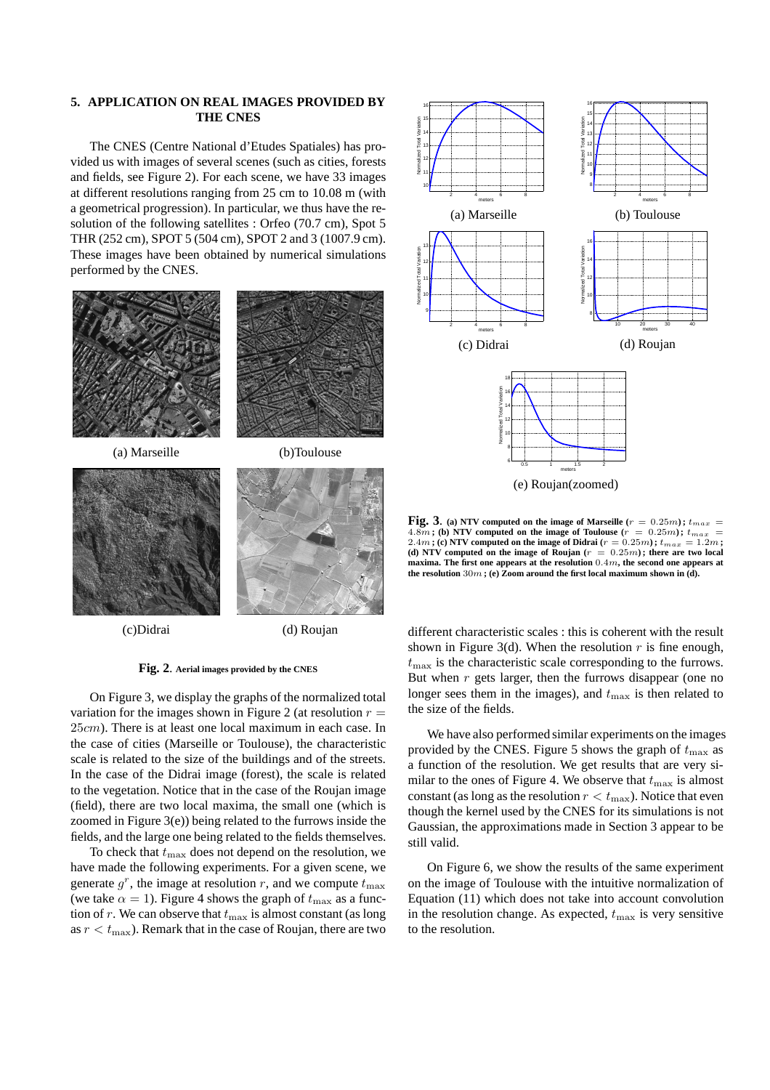### **5. APPLICATION ON REAL IMAGES PROVIDED BY THE CNES**

The CNES (Centre National d'Etudes Spatiales) has provided us with images of several scenes (such as cities, forests and fields, see Figure 2). For each scene, we have 33 images at different resolutions ranging from 25 cm to 10.08 m (with a geometrical progression). In particular, we thus have the resolution of the following satellites : Orfeo (70.7 cm), Spot 5 THR (252 cm), SPOT 5 (504 cm), SPOT 2 and 3 (1007.9 cm). These images have been obtained by numerical simulations performed by the CNES.



#### **Fig. 2**. **Aerial images provided by the CNES**

On Figure 3, we display the graphs of the normalized total variation for the images shown in Figure 2 (at resolution  $r =$ 25cm). There is at least one local maximum in each case. In the case of cities (Marseille or Toulouse), the characteristic scale is related to the size of the buildings and of the streets. In the case of the Didrai image (forest), the scale is related to the vegetation. Notice that in the case of the Roujan image (field), there are two local maxima, the small one (which is zoomed in Figure 3(e)) being related to the furrows inside the fields, and the large one being related to the fields themselves.

To check that  $t_{\text{max}}$  does not depend on the resolution, we have made the following experiments. For a given scene, we generate  $g^r$ , the image at resolution r, and we compute  $t_{\text{max}}$ (we take  $\alpha = 1$ ). Figure 4 shows the graph of  $t_{\text{max}}$  as a function of r. We can observe that  $t_{\text{max}}$  is almost constant (as long as  $r < t_{\text{max}}$ ). Remark that in the case of Roujan, there are two



**Fig. 3**. (a) NTV computed on the image of Marseille ( $r = 0.25m$ );  $t_{max}$ 4.8*m*; (b) NTV computed on the image of Toulouse ( $r = 0.25m$ );  $t_{max} = 2.4m$ ; (c) NTV computed on the image of Didrai ( $r = 0.25m$ );  $t_{max} = 1.2m$ ; (d) NTV computed on the image of Roujan  $(r = 0.25m)$ ; there are two local **maxima. The first one appears at the resolution** 0.4m**, the second one appears at** the resolution  $30m$ ; (e) Zoom around the first local maximum shown in (d).

different characteristic scales : this is coherent with the result shown in Figure 3(d). When the resolution  $r$  is fine enough,  $t_{\text{max}}$  is the characteristic scale corresponding to the furrows. But when  $r$  gets larger, then the furrows disappear (one no longer sees them in the images), and  $t_{\text{max}}$  is then related to the size of the fields.

We have also performed similar experiments on the images provided by the CNES. Figure 5 shows the graph of  $t_{\text{max}}$  as a function of the resolution. We get results that are very similar to the ones of Figure 4. We observe that  $t_{\text{max}}$  is almost constant (as long as the resolution  $r < t_{\text{max}}$ ). Notice that even though the kernel used by the CNES for its simulations is not Gaussian, the approximations made in Section 3 appear to be still valid.

On Figure 6, we show the results of the same experiment on the image of Toulouse with the intuitive normalization of Equation (11) which does not take into account convolution in the resolution change. As expected,  $t_{\text{max}}$  is very sensitive to the resolution.